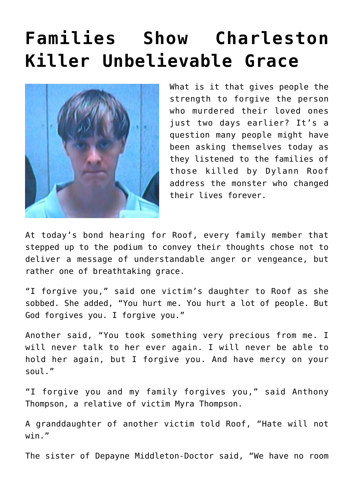## **[Families Show Charleston](https://bernardgoldberg.com/families-show-charleston-killer-unbelievable-grace/) [Killer Unbelievable Grace](https://bernardgoldberg.com/families-show-charleston-killer-unbelievable-grace/)**



What is it that gives people the strength to forgive the person who murdered their loved ones just two days earlier? It's a question many people might have been asking themselves today as they listened to the families of those killed by Dylann Roof address the monster who changed their lives forever.

At today's bond hearing for Roof, every family member that stepped up to the podium to convey their thoughts chose not to deliver a message of understandable anger or vengeance, but rather one of breathtaking grace.

"I forgive you," said one victim's daughter to Roof as she sobbed. She added, "You hurt me. You hurt a lot of people. But God forgives you. I forgive you."

Another said, "You took something very precious from me. I will never talk to her ever again. I will never be able to hold her again, but I forgive you. And have mercy on your soul."

"I forgive you and my family forgives you," said Anthony Thompson, a relative of victim Myra Thompson.

A granddaughter of another victim told Roof, "Hate will not win."

The sister of Depayne Middleton-Doctor said, "We have no room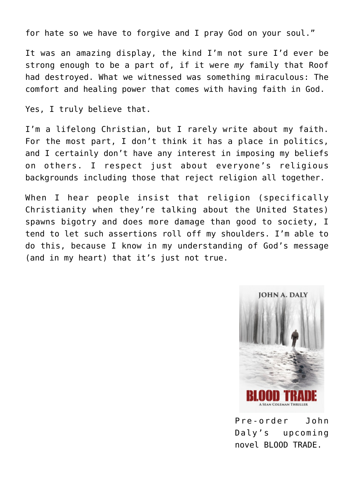for hate so we have to forgive and I pray God on your soul."

It was an amazing display, the kind I'm not sure I'd ever be strong enough to be a part of, if it were *my* family that Roof had destroyed. What we witnessed was something miraculous: The comfort and healing power that comes with having faith in God.

Yes, I truly believe that.

I'm a lifelong Christian, but I rarely write about my faith. For the most part, I don't think it has a place in politics, and I certainly don't have any interest in imposing my beliefs on others. I respect just about everyone's religious backgrounds including those that reject religion all together.

When I hear people insist that religion (specifically Christianity when they're talking about the United States) spawns bigotry and does more damage than good to society, I tend to let such assertions roll off my shoulders. I'm able to do this, because I know in my understanding of God's message (and in my heart) that it's just not true.



Pre-order John Daly's upcoming novel BLOOD TRADE.